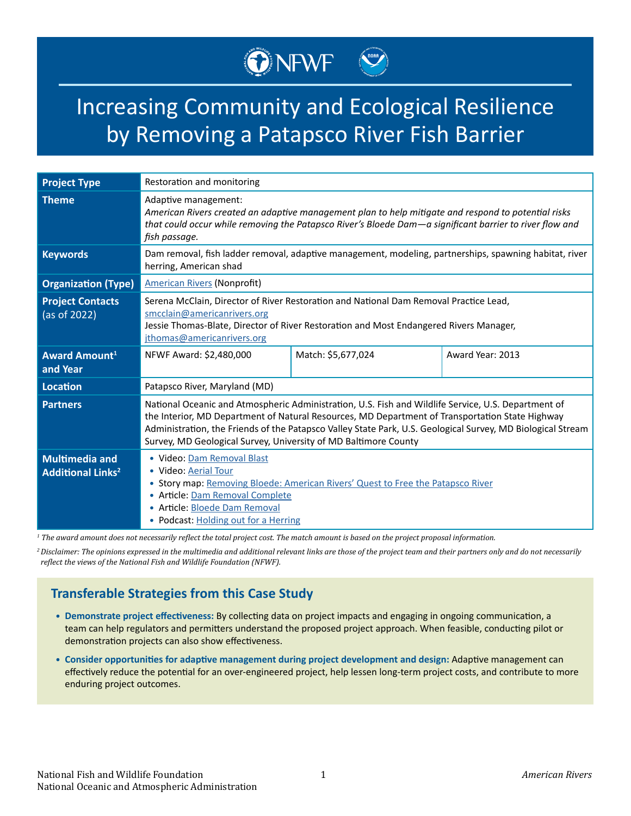# Increasing Community and Ecological Resilience by Removing a Patapsco River Fish Barrier

ONEWF<sup></sup>

| <b>Project Type</b>                                          | Restoration and monitoring                                                                                                                                                                                                                                                                                                                                                               |                    |                  |
|--------------------------------------------------------------|------------------------------------------------------------------------------------------------------------------------------------------------------------------------------------------------------------------------------------------------------------------------------------------------------------------------------------------------------------------------------------------|--------------------|------------------|
| <b>Theme</b>                                                 | Adaptive management:<br>American Rivers created an adaptive management plan to help mitigate and respond to potential risks<br>that could occur while removing the Patapsco River's Bloede Dam-a significant barrier to river flow and<br>fish passage.                                                                                                                                  |                    |                  |
| <b>Keywords</b>                                              | Dam removal, fish ladder removal, adaptive management, modeling, partnerships, spawning habitat, river<br>herring, American shad                                                                                                                                                                                                                                                         |                    |                  |
| <b>Organization (Type)</b>                                   | <b>American Rivers (Nonprofit)</b>                                                                                                                                                                                                                                                                                                                                                       |                    |                  |
| <b>Project Contacts</b><br>(as of 2022)                      | Serena McClain, Director of River Restoration and National Dam Removal Practice Lead,<br>smcclain@americanrivers.org<br>Jessie Thomas-Blate, Director of River Restoration and Most Endangered Rivers Manager,<br>jthomas@americanrivers.org                                                                                                                                             |                    |                  |
| <b>Award Amount1</b><br>and Year                             | NFWF Award: \$2,480,000                                                                                                                                                                                                                                                                                                                                                                  | Match: \$5,677,024 | Award Year: 2013 |
| <b>Location</b>                                              | Patapsco River, Maryland (MD)                                                                                                                                                                                                                                                                                                                                                            |                    |                  |
| <b>Partners</b>                                              | National Oceanic and Atmospheric Administration, U.S. Fish and Wildlife Service, U.S. Department of<br>the Interior, MD Department of Natural Resources, MD Department of Transportation State Highway<br>Administration, the Friends of the Patapsco Valley State Park, U.S. Geological Survey, MD Biological Stream<br>Survey, MD Geological Survey, University of MD Baltimore County |                    |                  |
| <b>Multimedia and</b><br><b>Additional Links<sup>2</sup></b> | · Video: Dam Removal Blast<br>• Video: Aerial Tour<br>Story map: Removing Bloede: American Rivers' Quest to Free the Patapsco River<br>$\bullet$<br>Article: Dam Removal Complete<br>$\bullet$<br>• Article: Bloede Dam Removal<br>• Podcast: Holding out for a Herring                                                                                                                  |                    |                  |

*1 The award amount does not necessarily reflect the total project cost. The match amount is based on the project proposal information.*

*<sup>2</sup>Disclaimer: The opinions expressed in the multimedia and additional relevant links are those of the project team and their partners only and do not necessarily reflect the views of the National Fish and Wildlife Foundation (NFWF).*

### **Transferable Strategies from this Case Study**

- **• Demonstrate project effectiveness:** By collecting data on project impacts and engaging in ongoing communication, a team can help regulators and permitters understand the proposed project approach. When feasible, conducting pilot or demonstration projects can also show effectiveness.
- **• Consider opportunities for adaptive management during project development and design:** Adaptive management can effectively reduce the potential for an over-engineered project, help lessen long-term project costs, and contribute to more enduring project outcomes.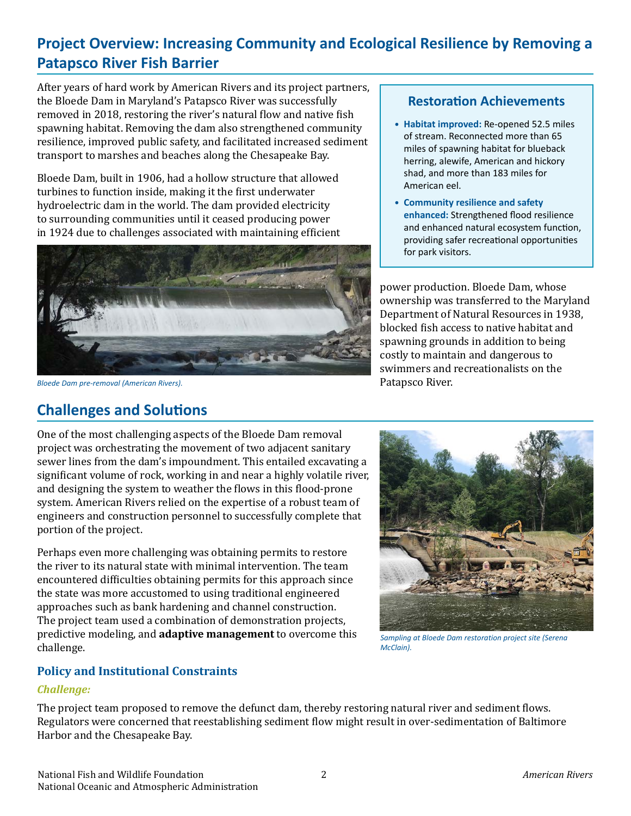## **Project Overview: Increasing Community and Ecological Resilience by Removing a Patapsco River Fish Barrier**

After years of hard work by American Rivers and its project partners, the Bloede Dam in Maryland's Patapsco River was successfully removed in 2018, restoring the river's natural flow and native fish spawning habitat. Removing the dam also strengthened community resilience, improved public safety, and facilitated increased sediment transport to marshes and beaches along the Chesapeake Bay.

Bloede Dam, built in 1906, had a hollow structure that allowed turbines to function inside, making it the first underwater hydroelectric dam in the world. The dam provided electricity to surrounding communities until it ceased producing power in 1924 due to challenges associated with maintaining efficient



*Bloede Dam pre-removal (American Rivers).* 

### **Challenges and Solutions**

One of the most challenging aspects of the Bloede Dam removal project was orchestrating the movement of two adjacent sanitary sewer lines from the dam's impoundment. This entailed excavating a significant volume of rock, working in and near a highly volatile river, and designing the system to weather the flows in this flood-prone system. American Rivers relied on the expertise of a robust team of engineers and construction personnel to successfully complete that portion of the project.

Perhaps even more challenging was obtaining permits to restore the river to its natural state with minimal intervention. The team encountered difficulties obtaining permits for this approach since the state was more accustomed to using traditional engineered approaches such as bank hardening and channel construction. The project team used a combination of demonstration projects, predictive modeling, and **adaptive management** to overcome this challenge.

# **Restoration Achievements**

- **• Habitat improved:** Re-opened 52.5 miles of stream. Reconnected more than 65 miles of spawning habitat for blueback herring, alewife, American and hickory shad, and more than 183 miles for American eel.
- **• Community resilience and safety enhanced:** Strengthened flood resilience and enhanced natural ecosystem function, providing safer recreational opportunities for park visitors.

power production. Bloede Dam, whose ownership was transferred to the Maryland Department of Natural Resources in 1938, blocked fish access to native habitat and spawning grounds in addition to being costly to maintain and dangerous to swimmers and recreationalists on the Patapsco River.



*Sampling at Bloede Dam restoration project site (Serena McClain).*

### **Policy and Institutional Constraints**

### *Challenge:*

The project team proposed to remove the defunct dam, thereby restoring natural river and sediment flows. Regulators were concerned that reestablishing sediment flow might result in over-sedimentation of Baltimore Harbor and the Chesapeake Bay.